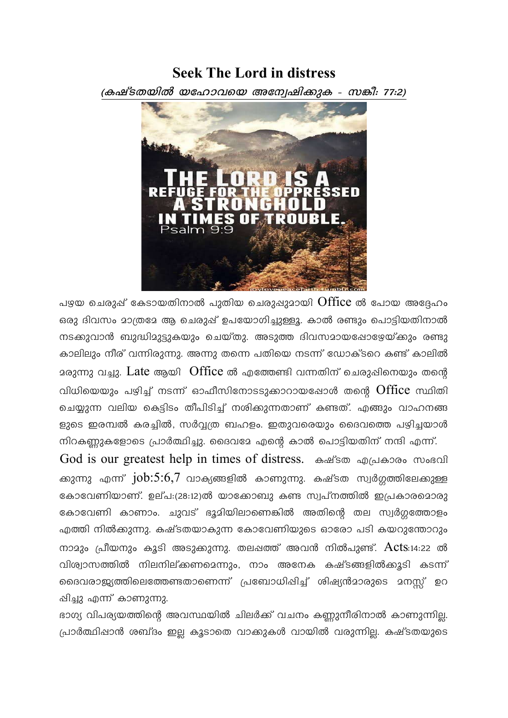# **Seek The Lord in distress**

(കഷ്ടതയിൽ യഹോവയെ അന്വേഷിക്കുക - സങ്കീ: 77:2)



പഴയ ചെരുപ്പ് കേടായതിനാൽ പുതിയ ചെരുപ്പുമായി Office ൽ പോയ അദ്ദേഹം ഒരു ദിവസം മാത്രമേ ആ ചെരുപ്പ് ഉപയോഗിച്ചുള്ളൂ. കാൽ രണ്ടും പൊട്ടിയതിനാൽ നടക്കുവാൻ ബുദ്ധിമുട്ടുകയും ചെയ്തു. അടുത്ത ദിവസമായപ്പോഴേയ്ക്കും രണ്ടു കാലിലും നീര് വന്നിരുന്നു. അന്നു തന്നെ പതിയെ നടന്ന് ഡോക്ടറെ കണ്ട് കാലിൽ മരുന്നു വച്ചു. Late ആയി Office ൽ എത്തേണ്ടി വന്നതിന് ചെരുപ്പിനെയും തന്റെ വിധിയെയും പഴിച്ച് നടന്ന് ഓഫീസിനോടടുക്കാറായപ്പോൾ തന്റെ Office സ്ഥിതി ചെയ്യുന്ന വലിയ കെട്ടിടം തീപിടിച്ച് നശിക്കുന്നതാണ് കണ്ടത്. എങ്ങും വാഹനങ്ങ ളുടെ ഇരമ്പൽ കരച്ചിൽ, സർവ്വത്ര ബഹളം. ഇതുവരെയും ദൈവത്തെ പഴിച്ചയാൾ നിറകണ്ണുകളോടെ പ്രാർത്ഥിച്ചു. ദൈവദേ എന്റെ കാൽ പൊട്ടിയതിന് നന്ദി എന്ന്.

God is our greatest help in times of distress. കഷ്ടത എപ്രകാരം സംഭവി ക്കുന്നു എന്ന് job:5:6,7 വാക്യങ്ങളിൽ കാണുന്നു. കഷ്ടത സ്വർഗ്ഗത്തിലേക്കുള്ള കോവേണിയാണ്. ഉല്പ:(28:12)ൽ യാക്കോബു കണ്ട സ്വപ്നത്തിൽ ഇപ്രകാരമൊരു കോവേണി കാണാം. ചുവട് ഭൂമിയിലാണെങ്കിൽ അതിന്റെ തല സ്വർഗ്ഗത്തോളം എത്തി നിൽക്കുന്നു. കഷ്ടതയാകുന്ന കോവേണിയുടെ ഓരോ പടി കയറുന്തോറും നാമും പ്രീയനും കൂടി അടുക്കുന്നു. തലപ്പത്ത് അവൻ നിൽപുണ്ട്.  $Acts:14:22$  ൽ വിശ്വാസത്തിൽ നിലനില്ക്കണമെന്നും, നാം അനേക കഷ്ടങ്ങളിൽക്കൂടി കടന്ന് ദൈവരാജ്യത്തിലെത്തേണ്ടതാണെന്ന് പ്രബോധിപ്പിച്ച് ശിഷ്യൻമാരുടെ മനസ്സ് ഉറ ഷിച്ചു എന്ന് കാണുന്നു.

ഭാഗ്യ വിപര്യയത്തിന്റെ അവസ്ഥയിൽ ചിലർക്ക് വചനം കണ്ണുനീരിനാൽ കാണുന്നില്ല. പ്രാർത്ഥിപ്പാൻ ശബ്ദം ഇല്ല കൂടാതെ വാക്കുകൾ വായിൽ വരുന്നില്ല. കഷ്ടതയുടെ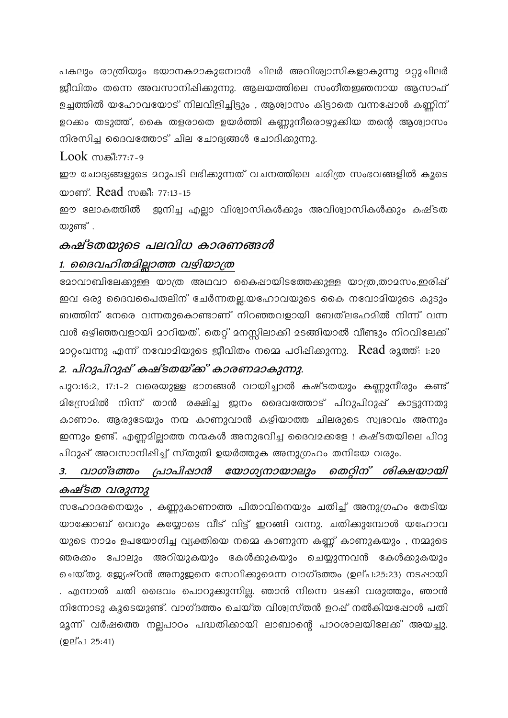പകലും രാത്രിയും ഭയാനകമാകുമ്പോൾ ചിലർ അവിശ്വാസികളാകുന്നു മറ്റുചിലർ ജ്ബീവിതം തന്നെ അവസാനിഷിക്കുന്നു. ആലയത്തിലെ സംഗീതഇഞനായ ആസാഫ് ഉച്ചത്തിൽ യഹോവയോട് നിലവിളിച്ചിട്ടും , ആശ്വാസം കിട്ടാതെ വന്നപ്പോൾ കണ്ണിന് ഉറക്കം തടുത്ത്, കൈ തളരാതെ ഉയർത്തി കണ്ണുനീരൊഴുക്കിയ തന്റെ ആശ്വാസം നിരസിച്ച ദൈവത്തോട് ചില ചോദ്യങ്ങൾ ചോദിക്കുന്നു.

### $Look$   $m$  $\mathcal{B}$ :77:7-9

ഈ ചോദ്യങ്ങളുടെ മറുപടി ലഭിക്കുന്നത് വചനത്തിലെ ചരിത്ര സംഭവങ്ങളിൽ കുടെ യാണ്. Read സങ്കീ: 77:13-15

ഈ ലോകത്തിൽ ജനിച്ച എല്ലാ വിശ്വാസികൾക്കും അവിശ്വാസികൾക്കും കഷ്ടത യുണ്ട് .

### കഷ്ടതയുടെ പലവിധ കാരണങ്ങൾ

### 1. മൈവഹിതമില്ലാത്ത വഴിയാത്ര

മോവാബിലേക്കുള്ള യാത്ര അഥവാ കൈപ്പായിടത്തേക്കുള്ള യാത്ര,താമസം,ഇരിപ്പ് ഇവ ഒരു ദൈവപൈതലിന് ചേർന്നതല്ല.യഹോവയുടെ കൈ നവോമിയുടെ കുടും ബത്തിന് നേരെ വന്നതുകൊണ്ടാണ് നിറഞ്ഞവളായി ബേത്ലഹേമിൽ നിന്ന് വന്ന വൾ ഒഴിഞ്ഞവളായി മാറിയത്. തെറ്റ് മനസ്സിലാക്കി മടങ്ങിയാൽ വീണ്ടും നിറവിലേക്ക് മാറ്റംവന്നു എന്ന് നവോമിയുടെ ജീവിതം നമ്മെ പഠിഷിക്കുന്നു.  $\,$ Read രൂത്ത്: 1:20

## 2. പിറുപിറുഷ് കഷ്ടതയ്ക്ക് കാരണമാകുന്നു.

പുറ:16:2, 17:1-2 വരെയുള്ള ഭാഗങ്ങൾ വായിച്ചാൽ കഷ്ടതയും കണ്ണുനീരും കണ്ട് മിസ്രേമിൽ നിന്ന് താൻ രക്ഷിച്ച ജനം ദൈവത്തോട് പിറുപിറുപ്പ് കാട്ടുന്നതു കാണാം. ആരുടേയും നന്മ കാണുവാൻ കഴിയാത്ത ചിലരുടെ സ്വഭാവം അന്നും ഇന്നും ഉണ്ട്. എണ്ണമില്ലാത്ത നന്മകൾ അനുഭവിച്ച ദൈവമക്കളേ ! കഷ്ടതയിലെ പിറു പിറുപ്പ് അവസാനിപ്പിച്ച് സ്തുതി ഉയർത്തുക അനുഗ്രഹം തനിയേ വരും.

#### വാഗ്ദത്തം പ്രാപിഷാൻ യോഗ്യനായാലും തെറ്റിന് ശിക്ഷയായി  $3.$ കഷ്ടത വരുന്നു

സഹോദരനെയും , കണ്ണുകാണാത്ത പിതാവിനെയും ചതിച്ച് അനുഗ്രഹം തേടിയ യാക്കോബ് വെറും കയ്യോടെ വീട് വിട്ട് ഇറങ്ങി വന്നു. ചതിക്കുമ്പോൾ യഹോവ യുടെ നാമം ഉപയോഗിച്ച വ്യക്തിയെ നമ്മെ കാണുന്ന കണ്ണ് കാണുകയും , നമ്മുടെ ഞരക്കം പോലും അറിയുകയും കേൾക്കുകയും ചെയ്യുന്നവൻ കേൾക്കുകയും ചെയ്തു. ജ്യേഷ്ഠൻ അനുജനെ സേവിക്കുമെന്ന വാഗ്ദത്തം (ഉല്പ:25:23) നടപ്പായി . എന്നാൽ ചതി ദൈവം പൊറുക്കുന്നില്ല. ഞാൻ നിന്നെ മടക്കി വരുത്തും, ഞാൻ നിന്നോടു കൂടെയുണ്ട്. വാഗ്ദത്തം ചെയ്ത വിശ്വസ്തൻ ഉറഷ് നൽകിയപ്പോൾ പതി മൂന്ന് വർഷത്തെ നല്ലപാഠം പദ്ധതിക്കായി ലാബാന്റെ പാഠശാലയിലേക്ക് അയച്ചു. (ഉല്പ 25:41)